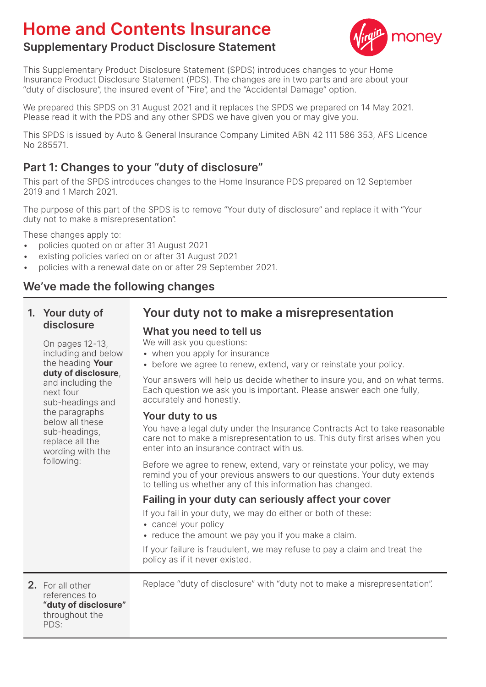# **Home and Contents Insurance**



# **Supplementary Product Disclosure Statement**

This Supplementary Product Disclosure Statement (SPDS) introduces changes to your Home Insurance Product Disclosure Statement (PDS). The changes are in two parts and are about your "duty of disclosure", the insured event of "Fire", and the "Accidental Damage" option.

We prepared this SPDS on 31 August 2021 and it replaces the SPDS we prepared on 14 May 2021. Please read it with the PDS and any other SPDS we have given you or may give you.

This SPDS is issued by Auto & General Insurance Company Limited ABN 42 111 586 353, AFS Licence No 285571.

## **Part 1: Changes to your "duty of disclosure"**

This part of the SPDS introduces changes to the Home Insurance PDS prepared on 12 September 2019 and 1 March 2021.

The purpose of this part of the SPDS is to remove "Your duty of disclosure" and replace it with "Your duty not to make a misrepresentation".

These changes apply to:

- policies quoted on or after 31 August 2021
- existing policies varied on or after 31 August 2021
- policies with a renewal date on or after 29 September 2021.

## **We've made the following changes**

#### **1. Your duty of disclosure**

next four

following:

 On pages 12-13, including and below the heading **Your duty of disclosure**, and including the

sub-headings and the paragraphs below all these sub-headings, replace all the wording with the

# **Your duty not to make a misrepresentation**

#### **What you need to tell us**

We will ask you questions:

- when you apply for insurance
- before we agree to renew, extend, vary or reinstate your policy.

Your answers will help us decide whether to insure you, and on what terms. Each question we ask you is important. Please answer each one fully, accurately and honestly.

#### **Your duty to us**

You have a legal duty under the Insurance Contracts Act to take reasonable care not to make a misrepresentation to us. This duty first arises when you enter into an insurance contract with us.

Before we agree to renew, extend, vary or reinstate your policy, we may remind you of your previous answers to our questions. Your duty extends to telling us whether any of this information has changed.

#### **Failing in your duty can seriously affect your cover**

If you fail in your duty, we may do either or both of these:

- cancel your policy
- reduce the amount we pay you if you make a claim.

If your failure is fraudulent, we may refuse to pay a claim and treat the policy as if it never existed.

**2.** For all other references to **"duty of disclosure"** throughout the PDS:

Replace "duty of disclosure" with "duty not to make a misrepresentation".